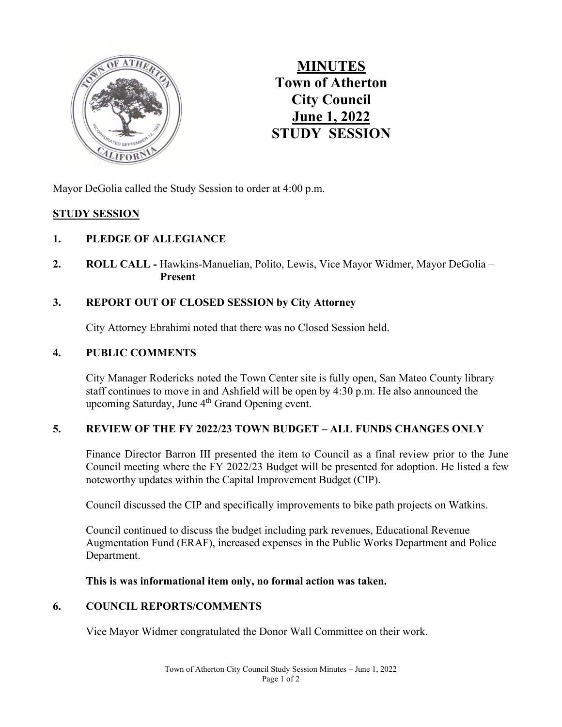

# **MINUTES Town of Atherton City Council June 1, 2022 STUDY SESSION**

Mayor DeGolia called the Study Session to order at 4:00 p.m.

## **STUDY SESSION**

# **1. PLEDGE OF ALLEGIANCE**

**2. ROLL CALL -** Hawkins-Manuelian, Polito, Lewis, Vice Mayor Widmer, Mayor DeGolia – **Present**

## **3. REPORT OUT OF CLOSED SESSION by City Attorney**

City Attorney Ebrahimi noted that there was no Closed Session held.

#### **4. PUBLIC COMMENTS**

City Manager Rodericks noted the Town Center site is fully open, San Mateo County library staff continues to move in and Ashfield will be open by 4:30 p.m. He also announced the upcoming Saturday, June 4<sup>th</sup> Grand Opening event.

#### **5. REVIEW OF THE FY 2022/23 TOWN BUDGET – ALL FUNDS CHANGES ONLY**

Finance Director Barron III presented the item to Council as a final review prior to the June Council meeting where the FY 2022/23 Budget will be presented for adoption. He listed a few noteworthy updates within the Capital Improvement Budget (CIP).

Council discussed the CIP and specifically improvements to bike path projects on Watkins.

Council continued to discuss the budget including park revenues, Educational Revenue Augmentation Fund (ERAF), increased expenses in the Public Works Department and Police Department.

#### **This is was informational item only, no formal action was taken.**

#### **6. COUNCIL REPORTS/COMMENTS**

Vice Mayor Widmer congratulated the Donor Wall Committee on their work.